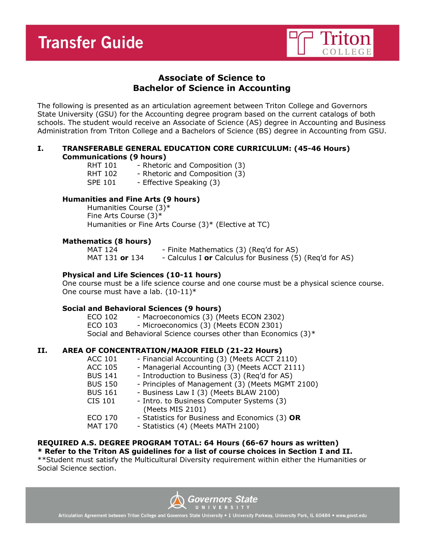

# **Associate of Science to Bachelor of Science in Accounting**

The following is presented as an articulation agreement between Triton College and Governors State University (GSU) for the Accounting degree program based on the current catalogs of both schools. The student would receive an Associate of Science (AS) degree in Accounting and Business Administration from Triton College and a Bachelors of Science (BS) degree in Accounting from GSU.

## **I. TRANSFERABLE GENERAL EDUCATION CORE CURRICULUM: (45-46 Hours) Communications (9 hours)**

| <b>RHT 101</b> | - Rhetoric and Composition (3) |
|----------------|--------------------------------|
| <b>RHT 102</b> | - Rhetoric and Composition (3) |
| <b>SPE 101</b> | - Effective Speaking (3)       |

## **Humanities and Fine Arts (9 hours)**

Humanities Course (3)\* Fine Arts Course (3)\* Humanities or Fine Arts Course (3)\* (Elective at TC)

## **Mathematics (8 hours)**

MAT 124 - Finite Mathematics (3) (Req'd for AS) MAT 131 **or** 134 - Calculus I **or** Calculus for Business (5) (Req'd for AS)

# **Physical and Life Sciences (10-11 hours)**

One course must be a life science course and one course must be a physical science course. One course must have a lab.  $(10-11)^*$ 

## **Social and Behavioral Sciences (9 hours)**

ECO 102 - Macroeconomics (3) (Meets ECON 2302) ECO 103 - Microeconomics (3) (Meets ECON 2301) Social and Behavioral Science courses other than Economics (3)\*

# **II. AREA OF CONCENTRATION/MAJOR FIELD (21-22 Hours)**

| <b>ACC 101</b> | - Financial Accounting (3) (Meets ACCT 2110)     |
|----------------|--------------------------------------------------|
| <b>ACC 105</b> | - Managerial Accounting (3) (Meets ACCT 2111)    |
| <b>BUS 141</b> | - Introduction to Business (3) (Req'd for AS)    |
| <b>BUS 150</b> | - Principles of Management (3) (Meets MGMT 2100) |
| <b>BUS 161</b> | - Business Law I (3) (Meets BLAW 2100)           |
| <b>CIS 101</b> | - Intro. to Business Computer Systems (3)        |
|                | (Meets MIS 2101)                                 |
| <b>ECO 170</b> | - Statistics for Business and Economics (3) OR   |
| <b>MAT 170</b> | - Statistics (4) (Meets MATH 2100)               |
|                |                                                  |

# **REQUIRED A.S. DEGREE PROGRAM TOTAL: 64 Hours (66-67 hours as written) \* Refer to the Triton AS guidelines for a list of course choices in Section I and II.**

\*\*Student must satisfy the Multicultural Diversity requirement within either the Humanities or Social Science section.

Governors State

Articulation Agreement between Triton College and Governors State University • 1 University Parkway, University Park, IL 60484 • www.govst.edu